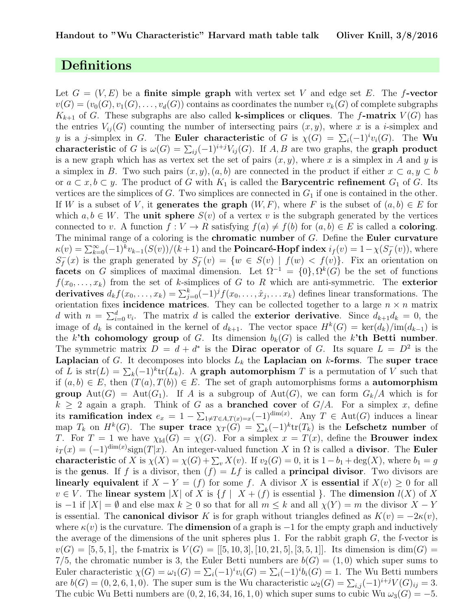### Definitions

Let  $G = (V, E)$  be a finite simple graph with vertex set V and edge set E. The f-vector  $v(G) = (v_0(G), v_1(G), \ldots, v_d(G))$  contains as coordinates the number  $v_k(G)$  of complete subgraphs  $K_{k+1}$  of G. These subgraphs are also called **k-simplices** or **cliques**. The f-matrix  $V(G)$  has the entries  $V_{ii}(G)$  counting the number of intersecting pairs  $(x, y)$ , where x is a i-simplex and y is a j-simplex in G. The Euler characteristic of G is  $\chi(G) = \sum_i (-1)^i v_i(G)$ . The Wu characteristic of G is  $\omega(G) = \sum_{ij} (-1)^{i+j} V_{ij}(G)$ . If A, B are two graphs, the graph product is a new graph which has as vertex set the set of pairs  $(x, y)$ , where x is a simplex in A and y is a simplex in B. Two such pairs  $(x, y), (a, b)$  are connected in the product if either  $x \subset a, y \subset b$ or  $a \subset x, b \subset y$ . The product of G with  $K_1$  is called the **Barycentric refinement**  $G_1$  of G. Its vertices are the simplices of  $G$ . Two simplices are connected in  $G_1$  if one is contained in the other. If W is a subset of V, it generates the graph  $(W, F)$ , where F is the subset of  $(a, b) \in E$  for which  $a, b \in W$ . The **unit sphere**  $S(v)$  of a vertex v is the subgraph generated by the vertices connected to v. A function  $f: V \to R$  satisfying  $f(a) \neq f(b)$  for  $(a, b) \in E$  is called a **coloring**. The minimal range of a coloring is the **chromatic number** of  $G$ . Define the **Euler curvature**  $\kappa(v) = \sum_{k=0}^{\infty} (-1)^k v_{k-1}(S(v))/(k+1)$  and the **Poincaré-Hopf index**  $i_f(v) = 1 - \chi(S_f^{-1})$  $\bar{f}(v)$ , where  $S_f^$  $f_f(x)$  is the graph generated by  $S_f^$  $f_f^-(v) = \{w \in S(v) \mid f(w) < f(v)\}.$  Fix an orientation on facets on G simplices of maximal dimension. Let  $\Omega^{-1} = \{0\}, \Omega^{k}(G)$  be the set of functions  $f(x_0, \ldots, x_k)$  from the set of k-simplices of G to R which are anti-symmetric. The exterior derivatives  $d_k f(x_0, \ldots, x_k) = \sum_{j=0}^k (-1)^j f(x_0, \ldots, \hat{x}_j, \ldots, x_k)$  defines linear transformations. The orientation fixes incidence matrices. They can be collected together to a large  $n \times n$  matrix d with  $n = \sum_{i=0}^{d} v_i$ . The matrix d is called the **exterior derivative**. Since  $d_{k+1}d_k = 0$ , the image of  $d_k$  is contained in the kernel of  $d_{k+1}$ . The vector space  $H^k(G) = \text{ker}(d_k)/\text{im}(d_{k-1})$  is the k'th cohomology group of G. Its dimension  $b_k(G)$  is called the k'th Betti number. The symmetric matrix  $D = d + d^*$  is the **Dirac operator** of G. Its square  $L = D^2$  is the **Laplacian** of G. It decomposes into blocks  $L_k$  the **Laplacian on k-forms**. The super trace of L is  $str(L) = \sum_k (-1)^k tr(L_k)$ . A graph automorphism T is a permutation of V such that if  $(a, b) \in E$ , then  $(T(a), T(b)) \in E$ . The set of graph automorphisms forms a **automorphism** group Aut(G) = Aut(G<sub>1</sub>). If A is a subgroup of Aut(G), we can form  $G_k/A$  which is for  $k \geq 2$  again a graph. Think of G as a **branched cover** of  $G/A$ . For a simplex x, define its ramification index  $e_x = 1 - \sum_{1 \neq T \in A, T(x) = x} (-1)^{\dim(x)}$ . Any  $T \in \text{Aut}(G)$  induces a linear map  $T_k$  on  $H^k(G)$ . The super trace  $\chi_T(G) = \sum_k (-1)^k \text{tr}(T_k)$  is the Lefschetz number of T. For  $T = 1$  we have  $\chi_{\text{Id}}(G) = \chi(G)$ . For a simplex  $x = T(x)$ , define the **Brouwer index**  $i_T(x) = (-1)^{\dim(x)} sign(T|x)$ . An integer-valued function X in  $\Omega$  is called a **divisor**. The **Euler characteristic** of X is  $\chi(X) = \chi(G) + \sum_{v} X(v)$ . If  $v_2(G) = 0$ , it is  $1 - b_1 + \deg(X)$ , where  $b_1 = g$ is the genus. If f is a divisor, then  $(f) = Lf$  is called a **principal divisor**. Two divisors are linearly equivalent if  $X - Y = (f)$  for some f. A divisor X is essential if  $X(v) \geq 0$  for all  $v \in V$ . The linear system |X| of X is  $\{f \mid X + (f)$  is essential }. The dimension  $l(X)$  of X is −1 if  $|X| = \emptyset$  and else max  $k \geq 0$  so that for all  $m \leq k$  and all  $\chi(Y) = m$  the divisor  $X - Y$ is essential. The **canonical divisor** K is for graph without triangles defined as  $K(v) = -2\kappa(v)$ , where  $\kappa(v)$  is the curvature. The **dimension** of a graph is  $-1$  for the empty graph and inductively the average of the dimensions of the unit spheres plus 1. For the rabbit graph  $G$ , the f-vector is  $v(G) = [5, 5, 1]$ , the f-matrix is  $V(G) = [[5, 10, 3], [10, 21, 5], [3, 5, 1]]$ . Its dimension is  $\dim(G) =$ 7/5, the chromatic number is 3, the Euler Betti numbers are  $b(G) = (1,0)$  which super sums to Euler characteristic  $\chi(G) = \omega_1(G) = \sum_i (-1)^i v_i(G) = \sum_i (-1)^i b_i(G) = 1$ . The Wu Betti numbers are  $b(G) = (0, 2, 6, 1, 0)$ . The super sum is the Wu characteristic  $\omega_2(G) = \sum_{i,j} (-1)^{i+j} V(G)_{ij} = 3$ . The cubic Wu Betti numbers are  $(0, 2, 16, 34, 16, 1, 0)$  which super sums to cubic Wu  $\omega_3(G) = -5$ .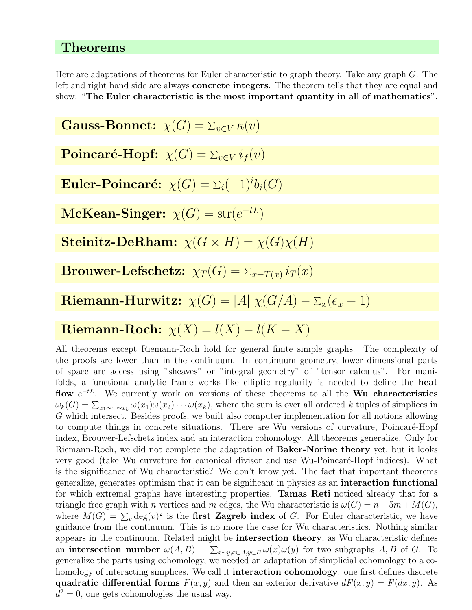### Theorems

Here are adaptations of theorems for Euler characteristic to graph theory. Take any graph G. The left and right hand side are always concrete integers. The theorem tells that they are equal and show: "The Euler characteristic is the most important quantity in all of mathematics".

Gauss-Bonnet:  $\chi(G) = \sum_{v \in V} \kappa(v)$ 

 $\textbf{Poincar\'e-Hopf:} \;\; \chi(G) = \sum_{v \in V} i_f(v)$ 

Euler-Poincaré:  $\chi(G) = \Sigma_i (-1)^i b_i(G)$ 

 $\mathbf{McKean\text{-}Singer: } \chi(G) = \text{str}(e^{-tL})$ 

**Steinitz-DeRham:**  $\chi(G \times H) = \chi(G)\chi(H)$ 

 $\textbf{Brouwer-Lefschetz:} \;\; \chi_T(G) = \sum_{x = T(x)} i_T(x)$ 

 ${\bf Riemann-Hurwitz:} \,\,\, \chi(G)=|A|\,\,\chi(G/A)-\Sigma_x(e_x-1)$ 

# Riemann-Roch:  $\chi(X) = l(X) - l(K - X)$

All theorems except Riemann-Roch hold for general finite simple graphs. The complexity of the proofs are lower than in the continuum. In continuum geometry, lower dimensional parts of space are access using "sheaves" or "integral geometry" of "tensor calculus". For manifolds, a functional analytic frame works like elliptic regularity is needed to define the heat flow  $e^{-tL}$ . We currently work on versions of these theorems to all the Wu characteristics  $\omega_k(G) = \sum_{x_1 \sim \cdots \sim x_k} \omega(x_1) \omega(x_2) \cdots \omega(x_k)$ , where the sum is over all ordered k tuples of simplices in G which intersect. Besides proofs, we built also computer implementation for all notions allowing to compute things in concrete situations. There are Wu versions of curvature, Poincaré-Hopf index, Brouwer-Lefschetz index and an interaction cohomology. All theorems generalize. Only for Riemann-Roch, we did not complete the adaptation of Baker-Norine theory yet, but it looks very good (take Wu curvature for canonical divisor and use Wu-Poincaré-Hopf indices). What is the significance of Wu characteristic? We don't know yet. The fact that important theorems generalize, generates optimism that it can be significant in physics as an interaction functional for which extremal graphs have interesting properties. Tamas Reti noticed already that for a triangle free graph with n vertices and m edges, the Wu characteristic is  $\omega(G) = n - 5m + M(G)$ , where  $M(G) = \sum_{v} \deg(v)^2$  is the **first Zagreb index** of G. For Euler characteristic, we have guidance from the continuum. This is no more the case for Wu characteristics. Nothing similar appears in the continuum. Related might be intersection theory, as Wu characteristic defines an intersection number  $\omega(A, B) = \sum_{x \sim y, x \subset A, y \subset B} \omega(x) \omega(y)$  for two subgraphs A, B of G. To generalize the parts using cohomology, we needed an adaptation of simplicial cohomology to a cohomology of interacting simplices. We call it **interaction cohomology**: one first defines discrete quadratic differential forms  $F(x, y)$  and then an exterior derivative  $dF(x, y) = F(dx, y)$ . As  $d^2 = 0$ , one gets cohomologies the usual way.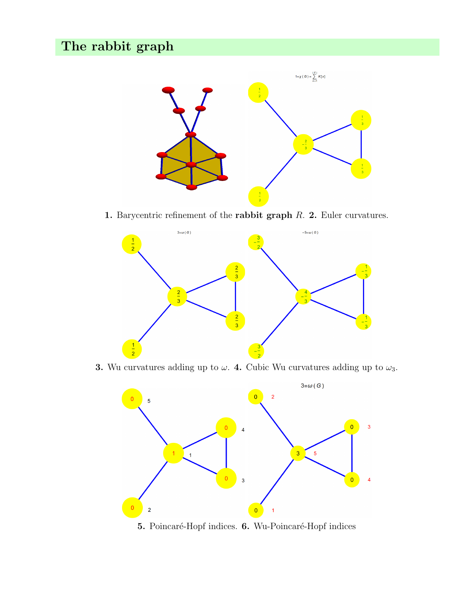

1. Barycentric refinement of the rabbit graph  $R$ . 2. Euler curvatures.



3. Wu curvatures adding up to  $\omega$ . 4. Cubic Wu curvatures adding up to  $\omega_3$ .



5. Poincaré-Hopf indices. 6. Wu-Poincaré-Hopf indices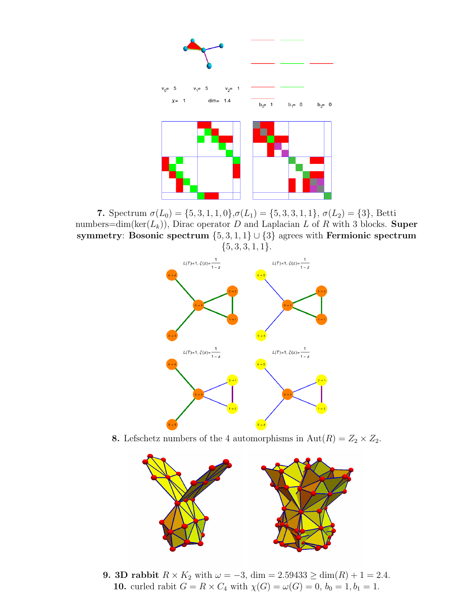

7. Spectrum  $\sigma(L_0) = \{5, 3, 1, 1, 0\}, \sigma(L_1) = \{5, 3, 3, 1, 1\}, \sigma(L_2) = \{3\},$  Betti numbers=dim(ker( $L_k$ )), Dirac operator D and Laplacian L of R with 3 blocks. Super symmetry: Bosonic spectrum  $\{5, 3, 1, 1\} \cup \{3\}$  agrees with Fermionic spectrum  ${5, 3, 3, 1, 1}.$ 



8. Lefschetz numbers of the 4 automorphisms in  $Aut(R) = Z_2 \times Z_2$ .



9. 3D rabbit  $R \times K_2$  with  $\omega = -3$ , dim = 2.59433 ≥ dim(R) + 1 = 2.4. 10. curled rabit  $G = R \times C_4$  with  $\chi(G) = \omega(G) = 0, b_0 = 1, b_1 = 1$ .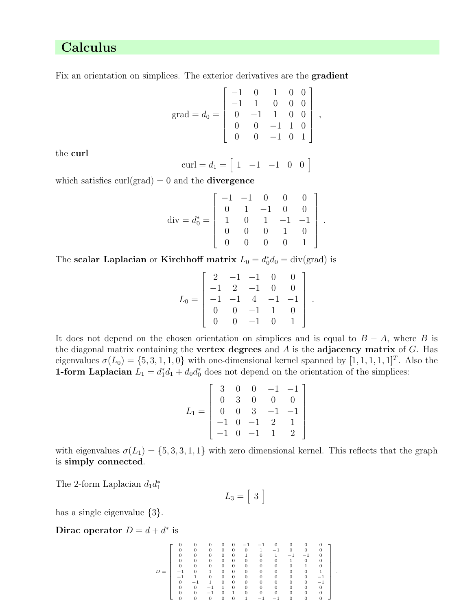# Calculus

Fix an orientation on simplices. The exterior derivatives are the gradient

$$
grad = d_0 = \begin{bmatrix} -1 & 0 & 1 & 0 & 0 \\ -1 & 1 & 0 & 0 & 0 \\ 0 & -1 & 1 & 0 & 0 \\ 0 & 0 & -1 & 1 & 0 \\ 0 & 0 & -1 & 0 & 1 \end{bmatrix},
$$

the curl

$$
\text{curl} = d_1 = \begin{bmatrix} 1 & -1 & -1 & 0 & 0 \end{bmatrix}
$$

which satisfies  $\text{curl}(\text{grad}) = 0$  and the **divergence** 

$$
\text{div} = d_0^* = \begin{bmatrix} -1 & -1 & 0 & 0 & 0 \\ 0 & 1 & -1 & 0 & 0 \\ 1 & 0 & 1 & -1 & -1 \\ 0 & 0 & 0 & 1 & 0 \\ 0 & 0 & 0 & 0 & 1 \end{bmatrix}.
$$

The scalar Laplacian or Kirchhoff matrix  $L_0 = d_0^* d_0 = \text{div}(\text{grad})$  is

$$
L_0 = \left[ \begin{array}{rrrrr} 2 & -1 & -1 & 0 & 0 \\ -1 & 2 & -1 & 0 & 0 \\ -1 & -1 & 4 & -1 & -1 \\ 0 & 0 & -1 & 1 & 0 \\ 0 & 0 & -1 & 0 & 1 \end{array} \right] .
$$

It does not depend on the chosen orientation on simplices and is equal to  $B - A$ , where B is the diagonal matrix containing the vertex degrees and  $A$  is the adjacency matrix of  $G$ . Has eigenvalues  $\sigma(L_0) = \{5, 3, 1, 1, 0\}$  with one-dimensional kernel spanned by  $[1, 1, 1, 1, 1]^T$ . Also the **1-form Laplacian**  $L_1 = d_1^* d_1 + d_0 d_0^*$  does not depend on the orientation of the simplices:

$$
L_1 = \left[\begin{array}{cccccc} 3 & 0 & 0 & -1 & -1 \\ 0 & 3 & 0 & 0 & 0 \\ 0 & 0 & 3 & -1 & -1 \\ -1 & 0 & -1 & 2 & 1 \\ -1 & 0 & -1 & 1 & 2 \end{array}\right]
$$

with eigenvalues  $\sigma(L_1) = \{5, 3, 3, 1, 1\}$  with zero dimensional kernel. This reflects that the graph is simply connected.

The 2-form Laplacian  $d_1 d_1^*$ 

$$
L_3 = \left[ \begin{array}{c} 3 \end{array} \right]
$$

has a single eigenvalue  $\{3\}.$ 

Dirac operator  $D = d + d^*$  is

$$
D=\left[\begin{array}{cccccccccccc} 0 & 0 & 0 & 0 & 0 & -1 & -1 & 0 & 0 & 0 & 0 & 0 \\ 0 & 0 & 0 & 0 & 0 & 0 & 1 & -1 & 0 & 0 & 0 & 0 \\ 0 & 0 & 0 & 0 & 0 & 1 & 0 & 1 & -1 & -1 & 0 \\ 0 & 0 & 0 & 0 & 0 & 0 & 0 & 0 & 0 & 1 & 0 & 0 \\ 0 & 0 & 0 & 0 & 0 & 0 & 0 & 0 & 0 & 1 & 0 & 0 \\ -1 & 0 & 1 & 0 & 0 & 0 & 0 & 0 & 0 & 0 & 0 & 1 \\ -1 & 1 & 0 & 0 & 0 & 0 & 0 & 0 & 0 & 0 & 0 & -1 \\ 0 & -1 & 1 & 0 & 0 & 0 & 0 & 0 & 0 & 0 & 0 & 0 \\ 0 & 0 & -1 & 1 & 0 & 0 & 0 & 0 & 0 & 0 & 0 & 0 \\ 0 & 0 & -1 & 0 & 1 & 0 & 0 & 0 & 0 & 0 & 0 & 0 \\ 0 & 0 & 0 & 0 & 0 & 1 & -1 & -1 & 0 & 0 & 0 & 0 \end{array}\right].
$$